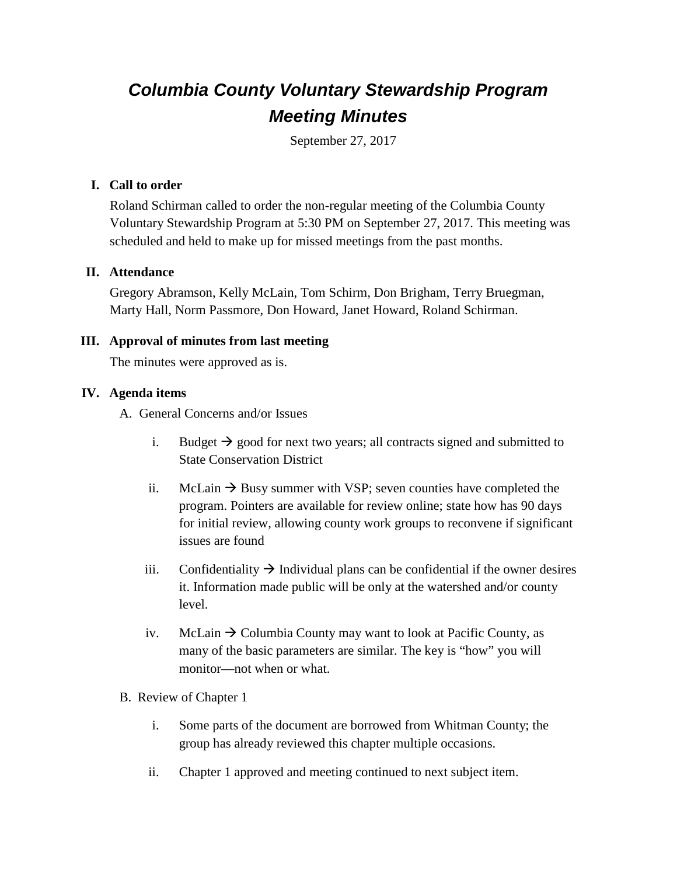# *Columbia County Voluntary Stewardship Program Meeting Minutes*

September 27, 2017

## **I. Call to order**

Roland Schirman called to order the non-regular meeting of the Columbia County Voluntary Stewardship Program at 5:30 PM on September 27, 2017. This meeting was scheduled and held to make up for missed meetings from the past months.

## **II. Attendance**

Gregory Abramson, Kelly McLain, Tom Schirm, Don Brigham, Terry Bruegman, Marty Hall, Norm Passmore, Don Howard, Janet Howard, Roland Schirman.

## **III. Approval of minutes from last meeting**

The minutes were approved as is.

## **IV. Agenda items**

A. General Concerns and/or Issues

- i. Budget  $\rightarrow$  good for next two years; all contracts signed and submitted to State Conservation District
- ii. McLain  $\rightarrow$  Busy summer with VSP; seven counties have completed the program. Pointers are available for review online; state how has 90 days for initial review, allowing county work groups to reconvene if significant issues are found
- iii. Confidentiality  $\rightarrow$  Individual plans can be confidential if the owner desires it. Information made public will be only at the watershed and/or county level.
- iv. McLain  $\rightarrow$  Columbia County may want to look at Pacific County, as many of the basic parameters are similar. The key is "how" you will monitor—not when or what.
- B. Review of Chapter 1
	- i. Some parts of the document are borrowed from Whitman County; the group has already reviewed this chapter multiple occasions.
	- ii. Chapter 1 approved and meeting continued to next subject item.